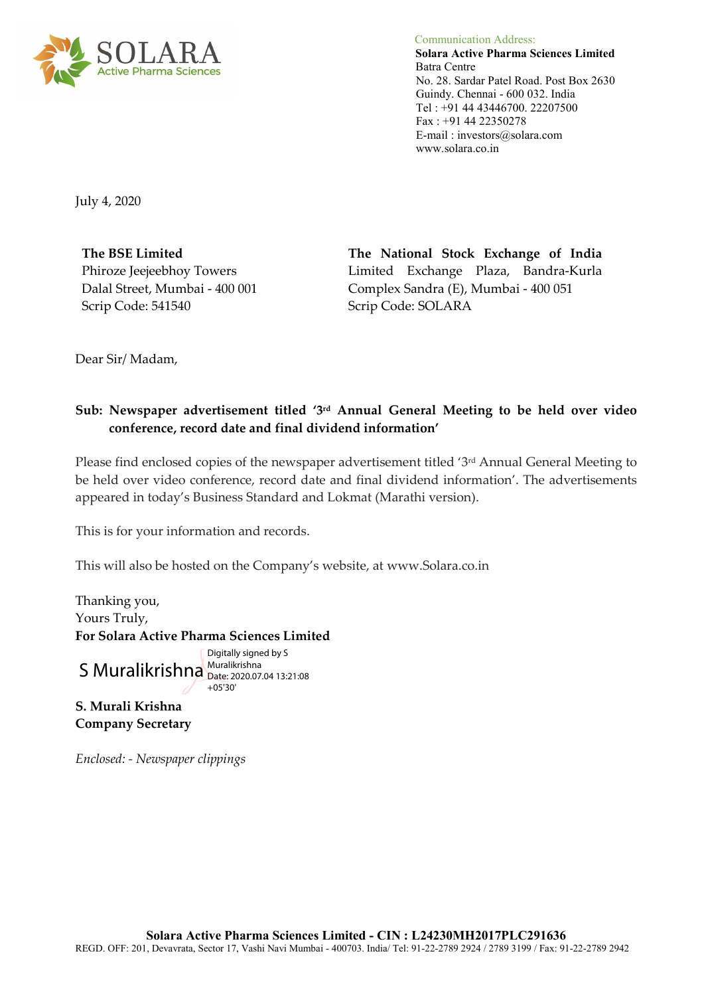

 Communication Address: **Solara Active Pharma Sciences Limited** Batra Centre No. 28. Sardar Patel Road. Post Box 2630 Guindy. Chennai - 600 032. India Tel : +91 44 43446700. 22207500 Fax : +91 44 22350278 E-mail : investors@solara.com www.solara.co.in

July 4, 2020

**The BSE Limited**  Phiroze Jeejeebhoy Towers Dalal Street, Mumbai - 400 001 Scrip Code: 541540

**The National Stock Exchange of India**  Limited Exchange Plaza, Bandra-Kurla Complex Sandra (E), Mumbai - 400 051 Scrip Code: SOLARA

Dear Sir/ Madam,

## **Sub: Newspaper advertisement titled '3rd Annual General Meeting to be held over video conference, record date and final dividend information'**

Please find enclosed copies of the newspaper advertisement titled '3rd Annual General Meeting to be held over video conference, record date and final dividend information'. The advertisements appeared in today's Business Standard and Lokmat (Marathi version).

This is for your information and records.

This will also be hosted on the Company's website, at www.Solara.co.in

Thanking you, Yours Truly, **For Solara Active Pharma Sciences Limited** 

S Muralikrishna Muralikrishna Digitally signed by S Date: 2020.07.04 13:21:08  $+05'30'$ 

**S. Murali Krishna Company Secretary**

*Enclosed: - Newspaper clippings*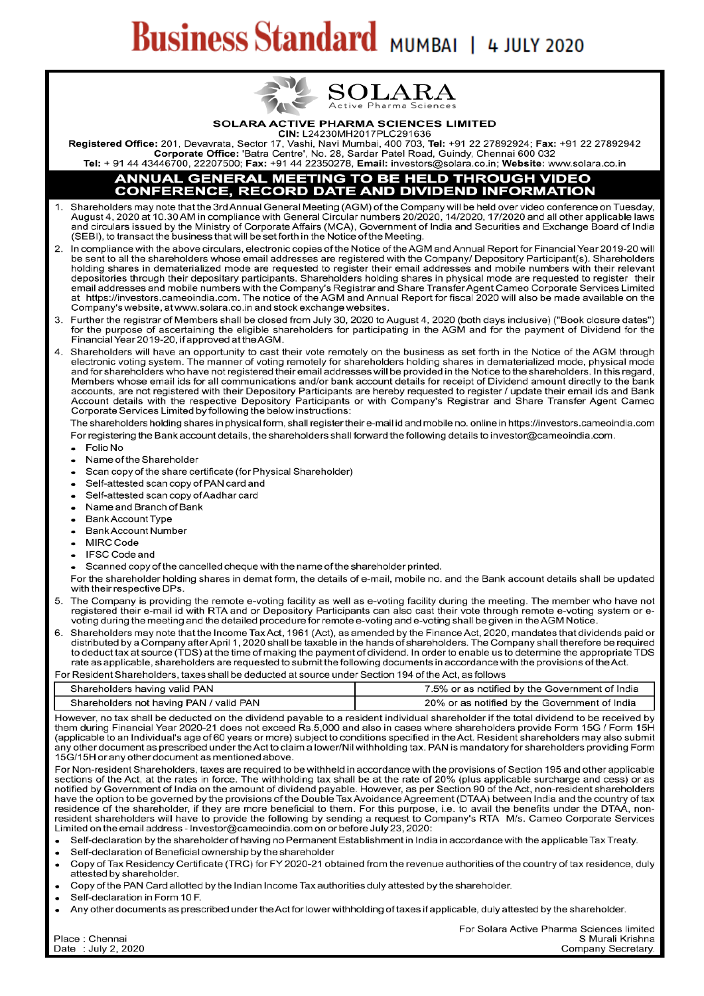# **Business Standard MUMBAI | 4 JULY 2020**



#### SOLARA ACTIVE PHARMA SCIENCES LIMITED

CIN: L24230MH2017PLC291636

Registered Office: 201, Devavrata, Sector 17, Vashi, Navi Mumbai, 400 703, Tel: +91 22 27892924; Fax: +91 22 27892942 Corporate Office: 'Batra Centre', No. 28, Sardar Patel Road, Guindy, Chennai 600 032<br>Tel: + 91 44 43446700, 22207500; Fax: +91 44 22350278, Email: investors@solara.co.in; Website: www.solara.co.in

# **ANNUAL GENERAL MEETING TO BE HELD THROUGH VIDEO<br>CONFERENCE, RECORD DATE AND DIVIDEND INFORMATION**

- Shareholders may note that the 3rd Annual General Meeting (AGM) of the Company will be held over video conference on Tuesday,<br>August 4, 2020 at 10.30 AM in compliance with General Circular numbers 20/2020, 14/2020, 17/2020  $\mathbf{1}$ and circulars issued by the Ministry of Corporate Affairs (MCA), Government of India and Securities and Exchange Board of India (SEBI), to transact the business that will be set forth in the Notice of the Meeting.
- In compliance with the above circulars, electronic copies of the Notice of the AGM and Annual Report for Financial Year 2019-20 will be sent to all the shareholders whose email addresses are registered with the Company/ Depository Participant(s). Shareholders holding shares in dematerialized mode are requested to register their email addresses and mobile numbers with their relevant depositories through their depositary participants. Shareholders holding shares in physical mode are requested to register their email addresses and mobile numbers with the Company's Registrar and Share Transfer Agent Cameo Corporate Services Limited at https://investors.cameoindia.com. The notice of the AGM and Annual Report for fiscal 2020 will also be made available on the Company's website, at www.solara.co.in and stock exchange websites.
- Further the registrar of Members shall be closed from July 30, 2020 to August 4, 2020 (both days inclusive) ("Book closure dates") for the purpose of ascertaining the eligible shareholders for participating in the AGM and 3 Financial Year 2019-20, if approved at the AGM.
- Shareholders will have an opportunity to cast their vote remotely on the business as set forth in the Notice of the AGM through  $\overline{4}$ electronic voting system. The manner of voting remotely for shareholders holding shares in dematerialized mode, physical mode and for shareholders who have not registered their email addresses will be provided in the Notice to the shareholders. In this regard, Members whose email ids for all communications and/or bank account details for receipt of Dividend amount directly to the bank accounts, are not registered with their Depository Participants are hereby requested to register / update their email ids and Bank Account details with the respective Depository Participants or with Company's Registrar and Share Transfer Agent Cameo Corporate Services Limited by following the below instructions:

The shareholders holding shares in physical form, shall register their e-mail id and mobile no. online in https://investors.cameoindia.com For registering the Bank account details, the shareholders shall forward the following details to investor@cameoindia.com.

- Folio No  $\bullet$
- $\ddot{\phantom{0}}$ Name of the Shareholder
- Scan copy of the share certificate (for Physical Shareholder)  $\bullet$
- Self-attested scan copy of PAN card and  $\bullet$
- Self-attested scan copy of Aadhar card  $\bullet$
- Name and Branch of Bank
- **Bank Account Type**  $\ddot{\phantom{0}}$
- $\bullet$ **Bank Account Number**
- MIRC Code  $\bullet$
- **IFSC Code and**  $\bullet$
- Scanned copy of the cancelled cheque with the name of the shareholder printed.

For the shareholder holding shares in demat form, the details of e-mail, mobile no, and the Bank account details shall be updated with their respective DPs.

- The Company is providing the remote e-voting facility as well as e-voting facility during the meeting. The member who have not 5. registered their e-mail id with RTA and or Depository Participants can also cast their vote through remote e-voting system or evoting during the meeting and the detailed procedure for remote e-voting and e-voting shall be given in the AGM Notice.
- 6 Shareholders may note that the Income Tax Act, 1961 (Act), as amended by the Finance Act, 2020, mandates that dividends paid or distributed by a Company after April 1, 2020 shall be taxable in the hands of shareholders. The Company shall therefore be required to deduct tax at source (TDS) at the time of making the payment of dividend. In order to enable us to determine the appropriate TDS rate as applicable, shareholders are requested to submit the following documents in accordance with the provisions of the Act.

For Resident Shareholders, taxes shall be deducted at source under Section 194 of the Act, as follows

| Shareholders having valid PAN           | 7.5% or as notified by the Government of India |
|-----------------------------------------|------------------------------------------------|
| Shareholders not having PAN / valid PAN | 20% or as notified by the Government of India  |

However, no tax shall be deducted on the dividend payable to a resident individual shareholder if the total dividend to be received by them during Financial Year 2020-21 does not exceed Rs.5,000 and also in cases where shareholders provide Form 15G / Form 15H (applicable to an Individual's age of 60 years or more) subject to conditions specified in the Act. Resident shareholders may also submit any other document as prescribed under the Act to claim a lower/Nil withholding tax. PAN is mandatory for shareholders providing Form 15G/15H or any other document as mentioned above.

For Non-resident Shareholders, taxes are required to be withheld in accordance with the provisions of Section 195 and other applicable sections of the Act, at the rates in force. The withholding tax shall be at the rate of 20% (plus applicable surcharge and cess) or as notified by Government of India on the amount of dividend payable. However, as per Section 90 of the Act, non-resident shareholders have the option to be governed by the provisions of the Double Tax Avoidance Agreement (DTAA) between India and the country of tax residence of the shareholder, if they are more beneficial to them. For this purpose, i.e. to avail the benefits under the DTAA, nonresident shareholders will have to provide the following by sending a request to Company's RTA M/s. Cameo Corporate Services Limited on the email address - Investor@cameoindia.com on or before July 23, 2020:

Self-declaration by the shareholder of having no Permanent Establishment in India in accordance with the applicable Tax Treaty.

- Self-declaration of Beneficial ownership by the shareholder
- Copy of Tax Residency Certificate (TRC) for FY 2020-21 obtained from the revenue authorities of the country of tax residence, duly attested by shareholder.
- Copy of the PAN Card allotted by the Indian Income Tax authorities duly attested by the shareholder.
- Self-declaration in Form 10 F.
- Any other documents as prescribed under the Act for lower withholding of taxes if applicable, duly attested by the shareholder.